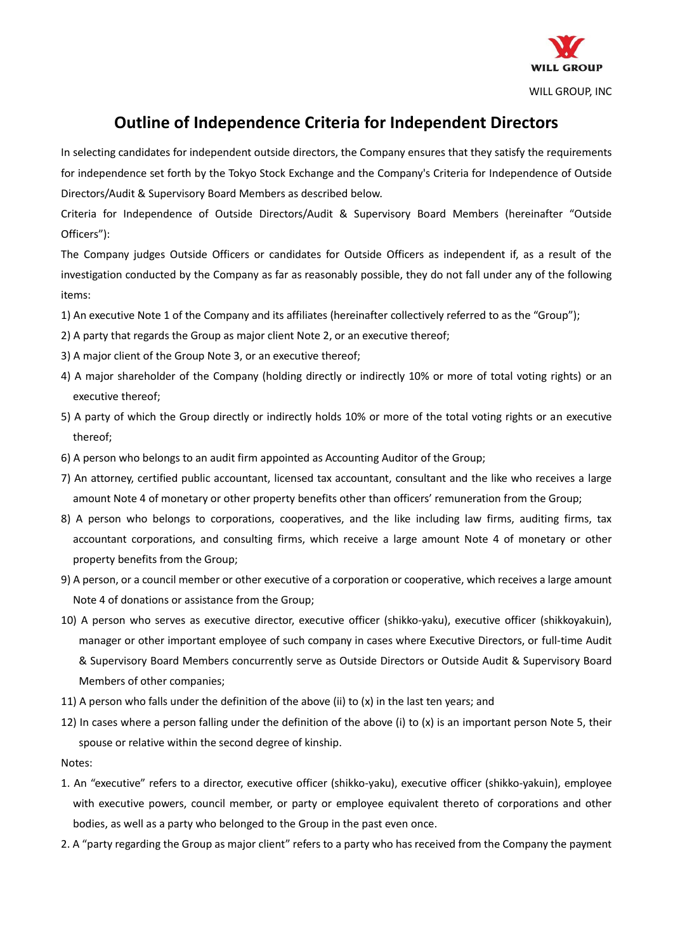

## **Outline of Independence Criteria for Independent Directors**

In selecting candidates for independent outside directors, the Company ensures that they satisfy the requirements for independence set forth by the Tokyo Stock Exchange and the Company's Criteria for Independence of Outside Directors/Audit & Supervisory Board Members as described below.

Criteria for Independence of Outside Directors/Audit & Supervisory Board Members (hereinafter "Outside Officers"):

The Company judges Outside Officers or candidates for Outside Officers as independent if, as a result of the investigation conducted by the Company as far as reasonably possible, they do not fall under any of the following items:

- 1) An executive Note 1 of the Company and its affiliates (hereinafter collectively referred to as the "Group");
- 2) A party that regards the Group as major client Note 2, or an executive thereof;
- 3) A major client of the Group Note 3, or an executive thereof;
- 4) A major shareholder of the Company (holding directly or indirectly 10% or more of total voting rights) or an executive thereof;
- 5) A party of which the Group directly or indirectly holds 10% or more of the total voting rights or an executive thereof;
- 6) A person who belongs to an audit firm appointed as Accounting Auditor of the Group;
- 7) An attorney, certified public accountant, licensed tax accountant, consultant and the like who receives a large amount Note 4 of monetary or other property benefits other than officers' remuneration from the Group;
- 8) A person who belongs to corporations, cooperatives, and the like including law firms, auditing firms, tax accountant corporations, and consulting firms, which receive a large amount Note 4 of monetary or other property benefits from the Group;
- 9) A person, or a council member or other executive of a corporation or cooperative, which receives a large amount Note 4 of donations or assistance from the Group;
- 10) A person who serves as executive director, executive officer (shikko-yaku), executive officer (shikkoyakuin), manager or other important employee of such company in cases where Executive Directors, or full-time Audit & Supervisory Board Members concurrently serve as Outside Directors or Outside Audit & Supervisory Board Members of other companies;
- 11) A person who falls under the definition of the above (ii) to (x) in the last ten years; and
- 12) In cases where a person falling under the definition of the above (i) to (x) is an important person Note 5, their spouse or relative within the second degree of kinship.

Notes:

- 1. An "executive" refers to a director, executive officer (shikko-yaku), executive officer (shikko-yakuin), employee with executive powers, council member, or party or employee equivalent thereto of corporations and other bodies, as well as a party who belonged to the Group in the past even once.
- 2. A "party regarding the Group as major client" refers to a party who has received from the Company the payment